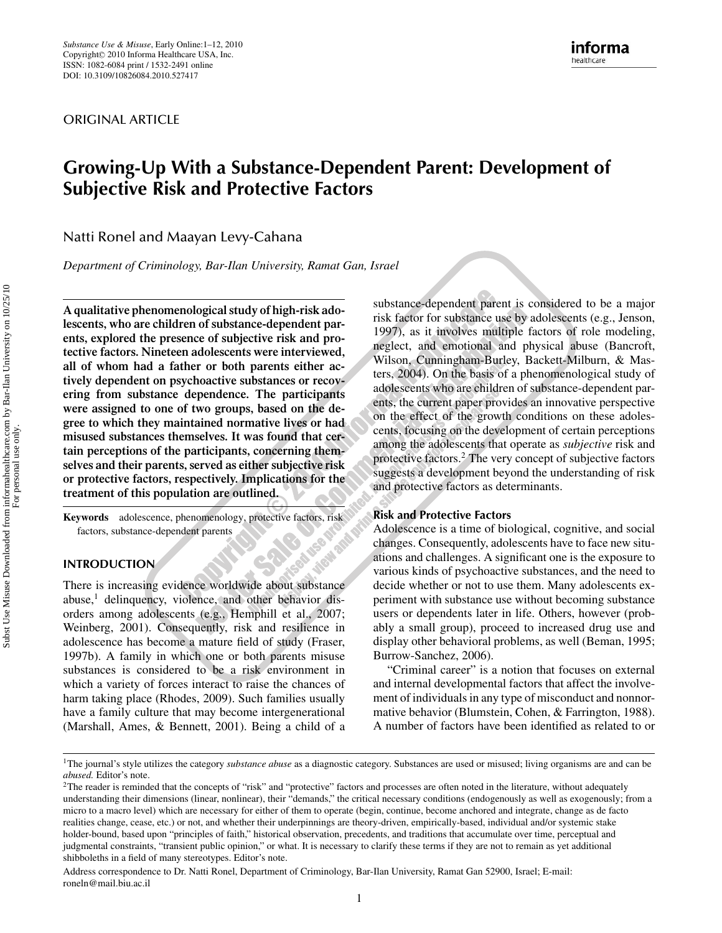ORIGINAL ARTICLE

# *Growing-Up With a Substance-Dependent Parent: Development of Subjective Risk and Protective Factors*

Natti Ronel and Maayan Levy-Cahana

*Department of Criminology, Bar-Ilan University, Ramat Gan, Israel*

*A qualitative phenomenological study of high-risk adolescents, who are children of substance-dependent parents, explored the presence of subjective risk and protective factors. Nineteen adolescents were interviewed, all of whom had a father or both parents either actively dependent on psychoactive substances or recovering from substance dependence. The participants were assigned to one of two groups, based on the degree to which they maintained normative lives or had misused substances themselves. It was found that certain perceptions of the participants, concerning themselves and their parents, served as either subjective risk or protective factors, respectively. Implications for the treatment of this population are outlined.*

*Keywords adolescence, phenomenology, protective factors, risk factors, substance-dependent parents* **SERVISTS** 

# *INTRODUCTION*

*There is increasing evidence worldwide about substance abuse,<sup>1</sup> delinquency, violence, and other behavior disorders among adolescents (e.g., Hemphill et al., 2007; Weinberg, 2001). Consequently, risk and resilience in adolescence has become a mature field of study (Fraser, 1997b). A family in which one or both parents misuse substances is considered to be a risk environment in which a variety of forces interact to raise the chances of harm taking place (Rhodes, 2009). Such families usually have a family culture that may become intergenerational (Marshall, Ames, & Bennett, 2001). Being a child of a*

*substance-dependent parent is considered to be a major risk factor for substance use by adolescents (e.g., Jenson, 1997), as it involves multiple factors of role modeling, neglect, and emotional and physical abuse (Bancroft, Wilson, Cunningham-Burley, Backett-Milburn, & Masters, 2004). On the basis of a phenomenological study of adolescents who are children of substance-dependent parents, the current paper provides an innovative perspective on the effect of the growth conditions on these adolescents, focusing on the development of certain perceptions among the adolescents that operate as subjective risk and protective factors.<sup>2</sup> The very concept of subjective factors suggests a development beyond the understanding of risk and protective factors as determinants.*

## *Risk and Protective Factors*

*Adolescence is a time of biological, cognitive, and social changes. Consequently, adolescents have to face new situations and challenges. A significant one is the exposure to various kinds of psychoactive substances, and the need to decide whether or not to use them. Many adolescents experiment with substance use without becoming substance users or dependents later in life. Others, however (probably a small group), proceed to increased drug use and display other behavioral problems, as well (Beman, 1995; Burrow-Sanchez, 2006).*

*"Criminal career" is a notion that focuses on external and internal developmental factors that affect the involvement of individuals in any type of misconduct and nonnormative behavior (Blumstein, Cohen, & Farrington, 1988). A number of factors have been identified as related to or*

Subst Use Misuse Downloaded from informahealthcare.com by Bar-Ilan University on 10/25/10 For personal use only.

Subst Use Misuse Downloaded from informahealthcare.com by Bar-Ilan University on 10/25/10<br>For personal use only.

*<sup>1</sup>The journal's style utilizes the category substance abuse as a diagnostic category. Substances are used or misused; living organisms are and can be abused. Editor's note.*

*<sup>2</sup>The reader is reminded that the concepts of "risk" and "protective" factors and processes are often noted in the literature, without adequately understanding their dimensions (linear, nonlinear), their "demands," the critical necessary conditions (endogenously as well as exogenously; from a micro to a macro level) which are necessary for either of them to operate (begin, continue, become anchored and integrate, change as de facto realities change, cease, etc.) or not, and whether their underpinnings are theory-driven, empirically-based, individual and/or systemic stake holder-bound, based upon "principles of faith," historical observation, precedents, and traditions that accumulate over time, perceptual and judgmental constraints, "transient public opinion," or what. It is necessary to clarify these terms if they are not to remain as yet additional shibboleths in a field of many stereotypes. Editor's note.*

*Address correspondence to Dr. Natti Ronel, Department of Criminology, Bar-Ilan University, Ramat Gan 52900, Israel; E-mail: roneln@mail.biu.ac.il*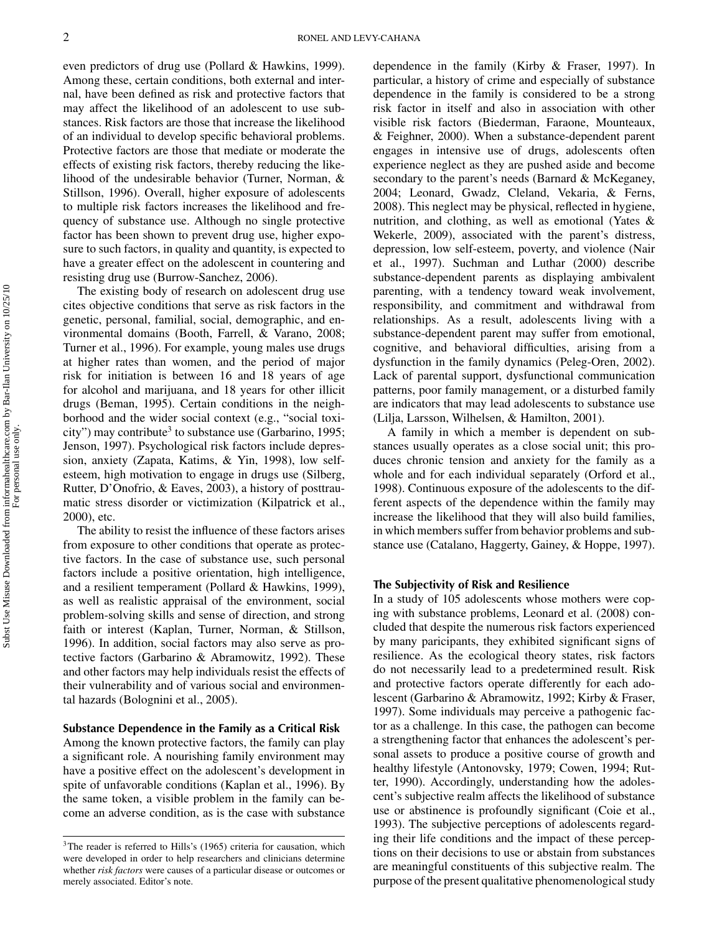*even predictors of drug use (Pollard & Hawkins, 1999). Among these, certain conditions, both external and internal, have been defined as risk and protective factors that may affect the likelihood of an adolescent to use substances. Risk factors are those that increase the likelihood of an individual to develop specific behavioral problems. Protective factors are those that mediate or moderate the effects of existing risk factors, thereby reducing the likelihood of the undesirable behavior (Turner, Norman, & Stillson, 1996). Overall, higher exposure of adolescents to multiple risk factors increases the likelihood and frequency of substance use. Although no single protective factor has been shown to prevent drug use, higher exposure to such factors, in quality and quantity, is expected to have a greater effect on the adolescent in countering and resisting drug use (Burrow-Sanchez, 2006).*

*The existing body of research on adolescent drug use cites objective conditions that serve as risk factors in the genetic, personal, familial, social, demographic, and environmental domains (Booth, Farrell, & Varano, 2008; Turner et al., 1996). For example, young males use drugs at higher rates than women, and the period of major risk for initiation is between 16 and 18 years of age for alcohol and marijuana, and 18 years for other illicit drugs (Beman, 1995). Certain conditions in the neighborhood and the wider social context (e.g., "social toxicity") may contribute3 to substance use (Garbarino, 1995; Jenson, 1997). Psychological risk factors include depression, anxiety (Zapata, Katims, & Yin, 1998), low selfesteem, high motivation to engage in drugs use (Silberg, Rutter, D'Onofrio, & Eaves, 2003), a history of posttraumatic stress disorder or victimization (Kilpatrick et al., 2000), etc.*

*The ability to resist the influence of these factors arises from exposure to other conditions that operate as protective factors. In the case of substance use, such personal factors include a positive orientation, high intelligence, and a resilient temperament (Pollard & Hawkins, 1999), as well as realistic appraisal of the environment, social problem-solving skills and sense of direction, and strong faith or interest (Kaplan, Turner, Norman, & Stillson, 1996). In addition, social factors may also serve as protective factors (Garbarino & Abramowitz, 1992). These and other factors may help individuals resist the effects of their vulnerability and of various social and environmental hazards (Bolognini et al., 2005).*

#### *Substance Dependence in the Family as a Critical Risk*

*Among the known protective factors, the family can play a significant role. A nourishing family environment may have a positive effect on the adolescent's development in spite of unfavorable conditions (Kaplan et al., 1996). By the same token, a visible problem in the family can become an adverse condition, as is the case with substance* *dependence in the family (Kirby & Fraser, 1997). In particular, a history of crime and especially of substance dependence in the family is considered to be a strong risk factor in itself and also in association with other visible risk factors (Biederman, Faraone, Mounteaux, & Feighner, 2000). When a substance-dependent parent engages in intensive use of drugs, adolescents often experience neglect as they are pushed aside and become secondary to the parent's needs (Barnard & McKeganey, 2004; Leonard, Gwadz, Cleland, Vekaria, & Ferns, 2008). This neglect may be physical, reflected in hygiene, nutrition, and clothing, as well as emotional (Yates & Wekerle, 2009), associated with the parent's distress, depression, low self-esteem, poverty, and violence (Nair et al., 1997). Suchman and Luthar (2000) describe substance-dependent parents as displaying ambivalent parenting, with a tendency toward weak involvement, responsibility, and commitment and withdrawal from relationships. As a result, adolescents living with a substance-dependent parent may suffer from emotional, cognitive, and behavioral difficulties, arising from a dysfunction in the family dynamics (Peleg-Oren, 2002). Lack of parental support, dysfunctional communication patterns, poor family management, or a disturbed family are indicators that may lead adolescents to substance use (Lilja, Larsson, Wilhelsen, & Hamilton, 2001).*

*A family in which a member is dependent on substances usually operates as a close social unit; this produces chronic tension and anxiety for the family as a whole and for each individual separately (Orford et al., 1998). Continuous exposure of the adolescents to the different aspects of the dependence within the family may increase the likelihood that they will also build families, in which members suffer from behavior problems and substance use (Catalano, Haggerty, Gainey, & Hoppe, 1997).*

#### *The Subjectivity of Risk and Resilience*

*In a study of 105 adolescents whose mothers were coping with substance problems, Leonard et al. (2008) concluded that despite the numerous risk factors experienced by many paricipants, they exhibited significant signs of resilience. As the ecological theory states, risk factors do not necessarily lead to a predetermined result. Risk and protective factors operate differently for each adolescent (Garbarino & Abramowitz, 1992; Kirby & Fraser, 1997). Some individuals may perceive a pathogenic factor as a challenge. In this case, the pathogen can become a strengthening factor that enhances the adolescent's personal assets to produce a positive course of growth and healthy lifestyle (Antonovsky, 1979; Cowen, 1994; Rutter, 1990). Accordingly, understanding how the adolescent's subjective realm affects the likelihood of substance use or abstinence is profoundly significant (Coie et al., 1993). The subjective perceptions of adolescents regarding their life conditions and the impact of these perceptions on their decisions to use or abstain from substances are meaningful constituents of this subjective realm. The purpose of the present qualitative phenomenological study*

*<sup>3</sup>The reader is referred to Hills's (1965) criteria for causation, which were developed in order to help researchers and clinicians determine whether risk factors were causes of a particular disease or outcomes or merely associated. Editor's note.*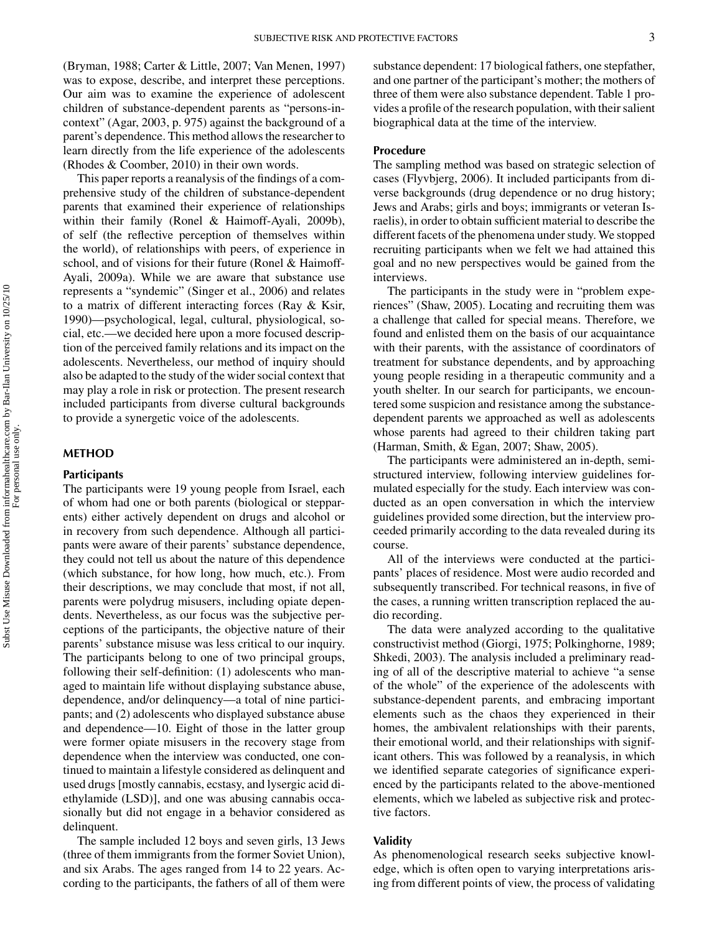*(Bryman, 1988; Carter & Little, 2007; Van Menen, 1997) was to expose, describe, and interpret these perceptions. Our aim was to examine the experience of adolescent children of substance-dependent parents as "persons-incontext" (Agar, 2003, p. 975) against the background of a parent's dependence. This method allows the researcher to learn directly from the life experience of the adolescents (Rhodes & Coomber, 2010) in their own words.*

*This paper reports a reanalysis of the findings of a comprehensive study of the children of substance-dependent parents that examined their experience of relationships within their family (Ronel & Haimoff-Ayali, 2009b), of self (the reflective perception of themselves within the world), of relationships with peers, of experience in school, and of visions for their future (Ronel & Haimoff-Ayali, 2009a). While we are aware that substance use represents a "syndemic" (Singer et al., 2006) and relates to a matrix of different interacting forces (Ray & Ksir, 1990)—psychological, legal, cultural, physiological, social, etc.—we decided here upon a more focused description of the perceived family relations and its impact on the adolescents. Nevertheless, our method of inquiry should also be adapted to the study of the wider social context that may play a role in risk or protection. The present research included participants from diverse cultural backgrounds to provide a synergetic voice of the adolescents.*

## *METHOD*

#### *Participants*

*The participants were 19 young people from Israel, each of whom had one or both parents (biological or stepparents) either actively dependent on drugs and alcohol or in recovery from such dependence. Although all participants were aware of their parents' substance dependence, they could not tell us about the nature of this dependence (which substance, for how long, how much, etc.). From their descriptions, we may conclude that most, if not all, parents were polydrug misusers, including opiate dependents. Nevertheless, as our focus was the subjective perceptions of the participants, the objective nature of their parents' substance misuse was less critical to our inquiry. The participants belong to one of two principal groups, following their self-definition: (1) adolescents who managed to maintain life without displaying substance abuse, dependence, and/or delinquency—a total of nine participants; and (2) adolescents who displayed substance abuse and dependence—10. Eight of those in the latter group were former opiate misusers in the recovery stage from dependence when the interview was conducted, one continued to maintain a lifestyle considered as delinquent and used drugs [mostly cannabis, ecstasy, and lysergic acid diethylamide (LSD)], and one was abusing cannabis occasionally but did not engage in a behavior considered as delinquent.*

*The sample included 12 boys and seven girls, 13 Jews (three of them immigrants from the former Soviet Union), and six Arabs. The ages ranged from 14 to 22 years. According to the participants, the fathers of all of them were* *substance dependent: 17 biological fathers, one stepfather, and one partner of the participant's mother; the mothers of three of them were also substance dependent. Table 1 provides a profile of the research population, with their salient biographical data at the time of the interview.*

#### *Procedure*

*The sampling method was based on strategic selection of cases (Flyvbjerg, 2006). It included participants from diverse backgrounds (drug dependence or no drug history; Jews and Arabs; girls and boys; immigrants or veteran Israelis), in order to obtain sufficient material to describe the different facets of the phenomena under study. We stopped recruiting participants when we felt we had attained this goal and no new perspectives would be gained from the interviews.*

*The participants in the study were in "problem experiences" (Shaw, 2005). Locating and recruiting them was a challenge that called for special means. Therefore, we found and enlisted them on the basis of our acquaintance with their parents, with the assistance of coordinators of treatment for substance dependents, and by approaching young people residing in a therapeutic community and a youth shelter. In our search for participants, we encountered some suspicion and resistance among the substancedependent parents we approached as well as adolescents whose parents had agreed to their children taking part (Harman, Smith, & Egan, 2007; Shaw, 2005).*

*The participants were administered an in-depth, semistructured interview, following interview guidelines formulated especially for the study. Each interview was conducted as an open conversation in which the interview guidelines provided some direction, but the interview proceeded primarily according to the data revealed during its course.*

*All of the interviews were conducted at the participants' places of residence. Most were audio recorded and subsequently transcribed. For technical reasons, in five of the cases, a running written transcription replaced the audio recording.*

*The data were analyzed according to the qualitative constructivist method (Giorgi, 1975; Polkinghorne, 1989; Shkedi, 2003). The analysis included a preliminary reading of all of the descriptive material to achieve "a sense of the whole" of the experience of the adolescents with substance-dependent parents, and embracing important elements such as the chaos they experienced in their homes, the ambivalent relationships with their parents, their emotional world, and their relationships with significant others. This was followed by a reanalysis, in which we identified separate categories of significance experienced by the participants related to the above-mentioned elements, which we labeled as subjective risk and protective factors.*

#### *Validity*

*As phenomenological research seeks subjective knowledge, which is often open to varying interpretations arising from different points of view, the process of validating*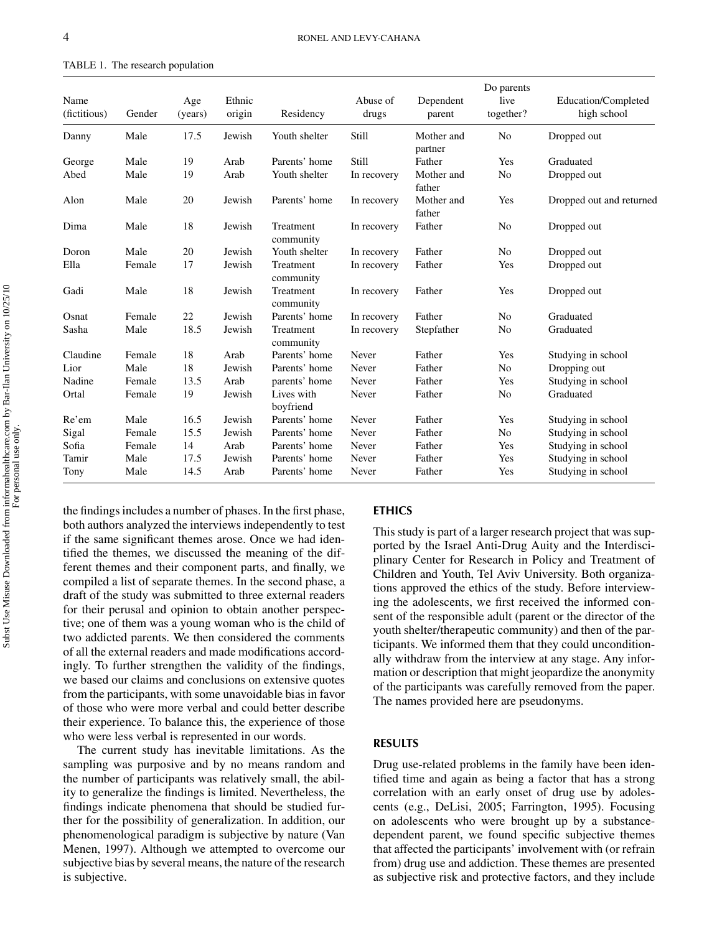| TABLE 1. The research population |  |  |  |  |
|----------------------------------|--|--|--|--|
|----------------------------------|--|--|--|--|

| Name<br>(fictitious) | Gender | Age<br>(years) | Ethnic<br>origin | Residency                     | Abuse of<br>drugs | Dependent<br>parent   | Do parents<br>live<br>together? | Education/Completed<br>high school |
|----------------------|--------|----------------|------------------|-------------------------------|-------------------|-----------------------|---------------------------------|------------------------------------|
| Danny                | Male   | 17.5           | Jewish           | Youth shelter                 | Still             | Mother and<br>partner | N <sub>0</sub>                  | Dropped out                        |
| George               | Male   | 19             | Arab             | Parents' home                 | Still             | Father                | Yes                             | Graduated                          |
| Abed                 | Male   | 19             | Arab             | Youth shelter                 | In recovery       | Mother and<br>father  | N <sub>o</sub>                  | Dropped out                        |
| Alon                 | Male   | 20             | Jewish           | Parents' home                 | In recovery       | Mother and<br>father  | Yes                             | Dropped out and returned           |
| Dima                 | Male   | 18             | Jewish           | <b>Treatment</b><br>community | In recovery       | Father                | N <sub>0</sub>                  | Dropped out                        |
| Doron                | Male   | 20             | Jewish           | Youth shelter                 | In recovery       | Father                | No                              | Dropped out                        |
| Ella                 | Female | 17             | Jewish           | Treatment<br>community        | In recovery       | Father                | Yes                             | Dropped out                        |
| Gadi                 | Male   | 18             | Jewish           | Treatment<br>community        | In recovery       | Father                | Yes                             | Dropped out                        |
| Osnat                | Female | 22             | Jewish           | Parents' home                 | In recovery       | Father                | N <sub>0</sub>                  | Graduated                          |
| Sasha                | Male   | 18.5           | Jewish           | Treatment<br>community        | In recovery       | Stepfather            | No                              | Graduated                          |
| Claudine             | Female | 18             | Arab             | Parents' home                 | Never             | Father                | Yes                             | Studying in school                 |
| Lior                 | Male   | 18             | Jewish           | Parents' home                 | Never             | Father                | N <sub>0</sub>                  | Dropping out                       |
| Nadine               | Female | 13.5           | Arab             | parents' home                 | Never             | Father                | Yes                             | Studying in school                 |
| Ortal                | Female | 19             | Jewish           | Lives with<br>boyfriend       | Never             | Father                | No                              | Graduated                          |
| Re'em                | Male   | 16.5           | Jewish           | Parents' home                 | Never             | Father                | Yes                             | Studying in school                 |
| Sigal                | Female | 15.5           | Jewish           | Parents' home                 | Never             | Father                | N <sub>o</sub>                  | Studying in school                 |
| Sofia                | Female | 14             | Arab             | Parents' home                 | Never             | Father                | Yes                             | Studying in school                 |
| Tamir                | Male   | 17.5           | Jewish           | Parents' home                 | Never             | Father                | Yes                             | Studying in school                 |
| Tony                 | Male   | 14.5           | Arab             | Parents' home                 | Never             | Father                | Yes                             | Studying in school                 |

*the findings includes a number of phases. In the first phase, both authors analyzed the interviews independently to test if the same significant themes arose. Once we had identified the themes, we discussed the meaning of the different themes and their component parts, and finally, we compiled a list of separate themes. In the second phase, a draft of the study was submitted to three external readers for their perusal and opinion to obtain another perspective; one of them was a young woman who is the child of two addicted parents. We then considered the comments of all the external readers and made modifications accordingly. To further strengthen the validity of the findings, we based our claims and conclusions on extensive quotes from the participants, with some unavoidable bias in favor of those who were more verbal and could better describe their experience. To balance this, the experience of those who were less verbal is represented in our words.*

*The current study has inevitable limitations. As the sampling was purposive and by no means random and the number of participants was relatively small, the ability to generalize the findings is limited. Nevertheless, the findings indicate phenomena that should be studied further for the possibility of generalization. In addition, our phenomenological paradigm is subjective by nature (Van Menen, 1997). Although we attempted to overcome our subjective bias by several means, the nature of the research is subjective.*

#### *ETHICS*

*This study is part of a larger research project that was supported by the Israel Anti-Drug Auity and the Interdisciplinary Center for Research in Policy and Treatment of Children and Youth, Tel Aviv University. Both organizations approved the ethics of the study. Before interviewing the adolescents, we first received the informed consent of the responsible adult (parent or the director of the youth shelter/therapeutic community) and then of the participants. We informed them that they could unconditionally withdraw from the interview at any stage. Any information or description that might jeopardize the anonymity of the participants was carefully removed from the paper. The names provided here are pseudonyms.*

#### *RESULTS*

*Drug use-related problems in the family have been identified time and again as being a factor that has a strong correlation with an early onset of drug use by adolescents (e.g., DeLisi, 2005; Farrington, 1995). Focusing on adolescents who were brought up by a substancedependent parent, we found specific subjective themes that affected the participants' involvement with (or refrain from) drug use and addiction. These themes are presented as subjective risk and protective factors, and they include*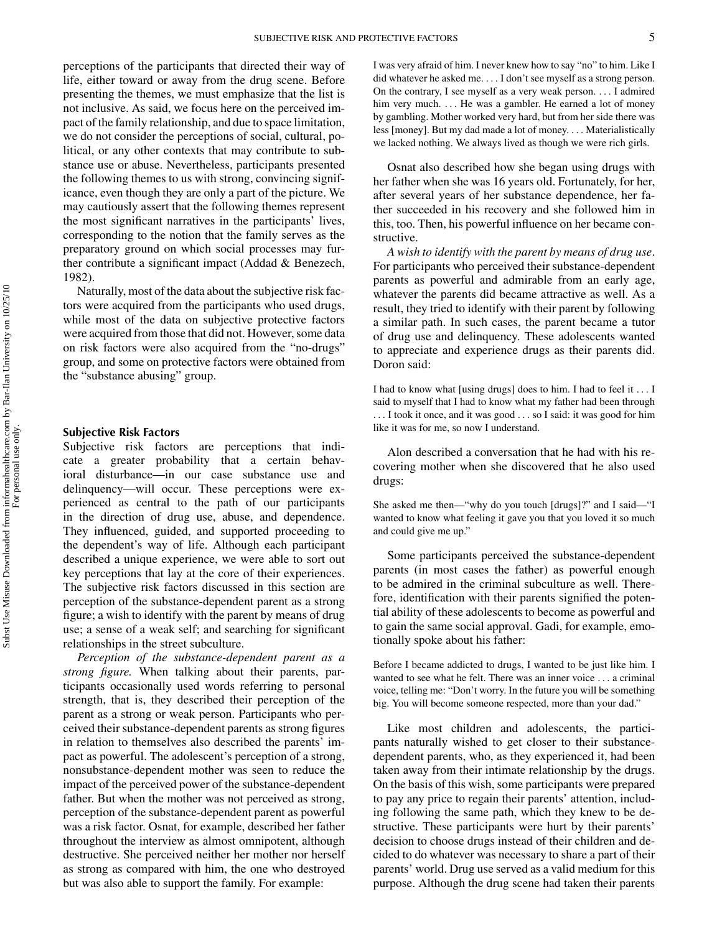*perceptions of the participants that directed their way of life, either toward or away from the drug scene. Before presenting the themes, we must emphasize that the list is not inclusive. As said, we focus here on the perceived impact of the family relationship, and due to space limitation, we do not consider the perceptions of social, cultural, political, or any other contexts that may contribute to substance use or abuse. Nevertheless, participants presented the following themes to us with strong, convincing significance, even though they are only a part of the picture. We may cautiously assert that the following themes represent the most significant narratives in the participants' lives, corresponding to the notion that the family serves as the preparatory ground on which social processes may further contribute a significant impact (Addad & Benezech, 1982).*

*Naturally, most of the data about the subjective risk factors were acquired from the participants who used drugs, while most of the data on subjective protective factors were acquired from those that did not. However, some data on risk factors were also acquired from the "no-drugs" group, and some on protective factors were obtained from the "substance abusing" group.*

# *Subjective Risk Factors*

*Subjective risk factors are perceptions that indicate a greater probability that a certain behavioral disturbance—in our case substance use and delinquency—will occur. These perceptions were experienced as central to the path of our participants in the direction of drug use, abuse, and dependence. They influenced, guided, and supported proceeding to the dependent's way of life. Although each participant described a unique experience, we were able to sort out key perceptions that lay at the core of their experiences. The subjective risk factors discussed in this section are perception of the substance-dependent parent as a strong figure; a wish to identify with the parent by means of drug use; a sense of a weak self; and searching for significant relationships in the street subculture.*

*Perception of the substance-dependent parent as a strong figure. When talking about their parents, participants occasionally used words referring to personal strength, that is, they described their perception of the parent as a strong or weak person. Participants who perceived their substance-dependent parents as strong figures in relation to themselves also described the parents' impact as powerful. The adolescent's perception of a strong, nonsubstance-dependent mother was seen to reduce the impact of the perceived power of the substance-dependent father. But when the mother was not perceived as strong, perception of the substance-dependent parent as powerful was a risk factor. Osnat, for example, described her father throughout the interview as almost omnipotent, although destructive. She perceived neither her mother nor herself as strong as compared with him, the one who destroyed but was also able to support the family. For example:*

*I was very afraid of him. I never knew how to say "no" to him. Like I did whatever he asked me.* ... *I don't see myself as a strong person. On the contrary, I see myself as a very weak person.* ... *I admired him very much.* ... *He was a gambler. He earned a lot of money by gambling. Mother worked very hard, but from her side there was less [money]. But my dad made a lot of money.* ... *Materialistically we lacked nothing. We always lived as though we were rich girls.*

*Osnat also described how she began using drugs with her father when she was 16 years old. Fortunately, for her, after several years of her substance dependence, her father succeeded in his recovery and she followed him in this, too. Then, his powerful influence on her became constructive.*

*A wish to identify with the parent by means of drug use. For participants who perceived their substance-dependent parents as powerful and admirable from an early age, whatever the parents did became attractive as well. As a result, they tried to identify with their parent by following a similar path. In such cases, the parent became a tutor of drug use and delinquency. These adolescents wanted to appreciate and experience drugs as their parents did. Doron said:*

*I had to know what [using drugs] does to him. I had to feel it* ... *I said to myself that I had to know what my father had been through* ... *I took it once, and it was good* ... *so I said: it was good for him like it was for me, so now I understand.*

*Alon described a conversation that he had with his recovering mother when she discovered that he also used drugs:*

*She asked me then—"why do you touch [drugs]?" and I said—"I wanted to know what feeling it gave you that you loved it so much and could give me up."*

*Some participants perceived the substance-dependent parents (in most cases the father) as powerful enough to be admired in the criminal subculture as well. Therefore, identification with their parents signified the potential ability of these adolescents to become as powerful and to gain the same social approval. Gadi, for example, emotionally spoke about his father:*

*Before I became addicted to drugs, I wanted to be just like him. I wanted to see what he felt. There was an inner voice* ... *a criminal voice, telling me: "Don't worry. In the future you will be something big. You will become someone respected, more than your dad."*

*Like most children and adolescents, the participants naturally wished to get closer to their substancedependent parents, who, as they experienced it, had been taken away from their intimate relationship by the drugs. On the basis of this wish, some participants were prepared to pay any price to regain their parents' attention, including following the same path, which they knew to be destructive. These participants were hurt by their parents' decision to choose drugs instead of their children and decided to do whatever was necessary to share a part of their parents' world. Drug use served as a valid medium for this purpose. Although the drug scene had taken their parents*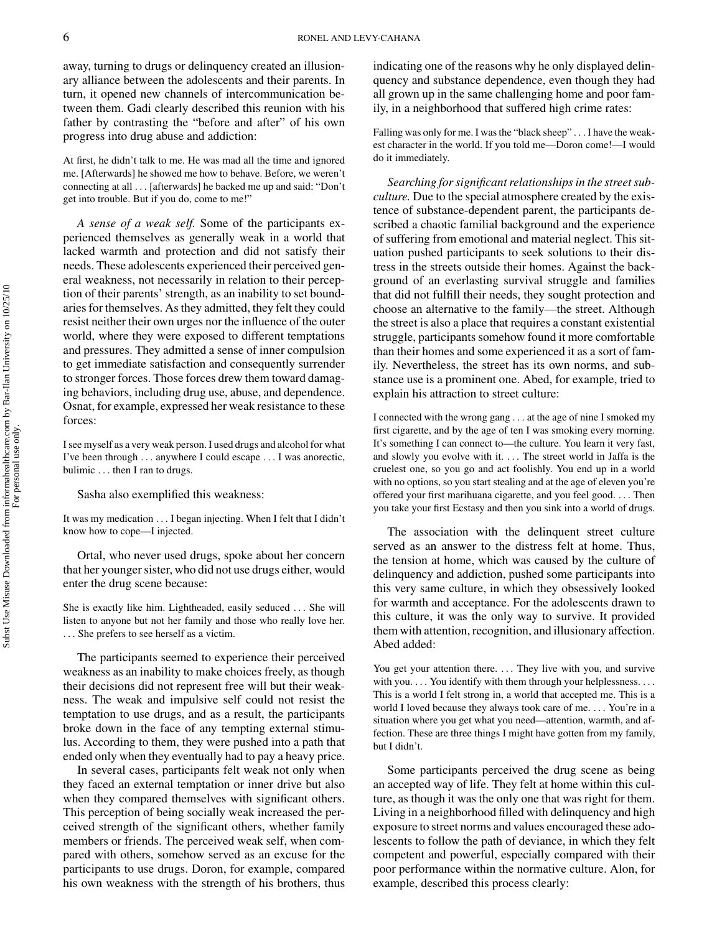*away, turning to drugs or delinquency created an illusionary alliance between the adolescents and their parents. In turn, it opened new channels of intercommunication between them. Gadi clearly described this reunion with his father by contrasting the "before and after" of his own progress into drug abuse and addiction:*

*At first, he didn't talk to me. He was mad all the time and ignored me. [Afterwards] he showed me how to behave. Before, we weren't connecting at all* ... *[afterwards] he backed me up and said: "Don't get into trouble. But if you do, come to me!"*

*A sense of a weak self. Some of the participants experienced themselves as generally weak in a world that lacked warmth and protection and did not satisfy their needs. These adolescents experienced their perceived general weakness, not necessarily in relation to their perception of their parents' strength, as an inability to set boundaries for themselves. As they admitted, they felt they could resist neither their own urges nor the influence of the outer world, where they were exposed to different temptations and pressures. They admitted a sense of inner compulsion to get immediate satisfaction and consequently surrender to stronger forces. Those forces drew them toward damaging behaviors, including drug use, abuse, and dependence. Osnat, for example, expressed her weak resistance to these forces:*

*I see myself as a very weak person. I used drugs and alcohol for what I've been through* ... *anywhere I could escape* ... *I was anorectic, bulimic* ... *then I ran to drugs.*

*Sasha also exemplified this weakness:*

*It was my medication* ... *I began injecting. When I felt that I didn't know how to cope—I injected.*

*Ortal, who never used drugs, spoke about her concern that her younger sister, who did not use drugs either, would enter the drug scene because:*

*She is exactly like him. Lightheaded, easily seduced* ... *She will listen to anyone but not her family and those who really love her.* ... *She prefers to see herself as a victim.*

*The participants seemed to experience their perceived weakness as an inability to make choices freely, as though their decisions did not represent free will but their weakness. The weak and impulsive self could not resist the temptation to use drugs, and as a result, the participants broke down in the face of any tempting external stimulus. According to them, they were pushed into a path that ended only when they eventually had to pay a heavy price.*

*In several cases, participants felt weak not only when they faced an external temptation or inner drive but also when they compared themselves with significant others. This perception of being socially weak increased the perceived strength of the significant others, whether family members or friends. The perceived weak self, when compared with others, somehow served as an excuse for the participants to use drugs. Doron, for example, compared his own weakness with the strength of his brothers, thus*

*indicating one of the reasons why he only displayed delinquency and substance dependence, even though they had all grown up in the same challenging home and poor family, in a neighborhood that suffered high crime rates:*

*Falling was only for me. I was the "black sheep"* ... *I have the weakest character in the world. If you told me—Doron come!—I would do it immediately.*

*Searching for significant relationships in the street subculture. Due to the special atmosphere created by the existence of substance-dependent parent, the participants described a chaotic familial background and the experience of suffering from emotional and material neglect. This situation pushed participants to seek solutions to their distress in the streets outside their homes. Against the background of an everlasting survival struggle and families that did not fulfill their needs, they sought protection and choose an alternative to the family—the street. Although the street is also a place that requires a constant existential struggle, participants somehow found it more comfortable than their homes and some experienced it as a sort of family. Nevertheless, the street has its own norms, and substance use is a prominent one. Abed, for example, tried to explain his attraction to street culture:*

*I connected with the wrong gang* ... *at the age of nine I smoked my first cigarette, and by the age of ten I was smoking every morning. It's something I can connect to—the culture. You learn it very fast, and slowly you evolve with it.* ... *The street world in Jaffa is the cruelest one, so you go and act foolishly. You end up in a world with no options, so you start stealing and at the age of eleven you're offered your first marihuana cigarette, and you feel good.* ... *Then you take your first Ecstasy and then you sink into a world of drugs.*

*The association with the delinquent street culture served as an answer to the distress felt at home. Thus, the tension at home, which was caused by the culture of delinquency and addiction, pushed some participants into this very same culture, in which they obsessively looked for warmth and acceptance. For the adolescents drawn to this culture, it was the only way to survive. It provided them with attention, recognition, and illusionary affection. Abed added:*

*You get your attention there.* ... *They live with you, and survive with you.* ... *You identify with them through your helplessness.* ... *This is a world I felt strong in, a world that accepted me. This is a world I loved because they always took care of me.* ... *You're in a situation where you get what you need—attention, warmth, and affection. These are three things I might have gotten from my family, but I didn't.*

*Some participants perceived the drug scene as being an accepted way of life. They felt at home within this culture, as though it was the only one that was right for them. Living in a neighborhood filled with delinquency and high exposure to street norms and values encouraged these adolescents to follow the path of deviance, in which they felt competent and powerful, especially compared with their poor performance within the normative culture. Alon, for example, described this process clearly:*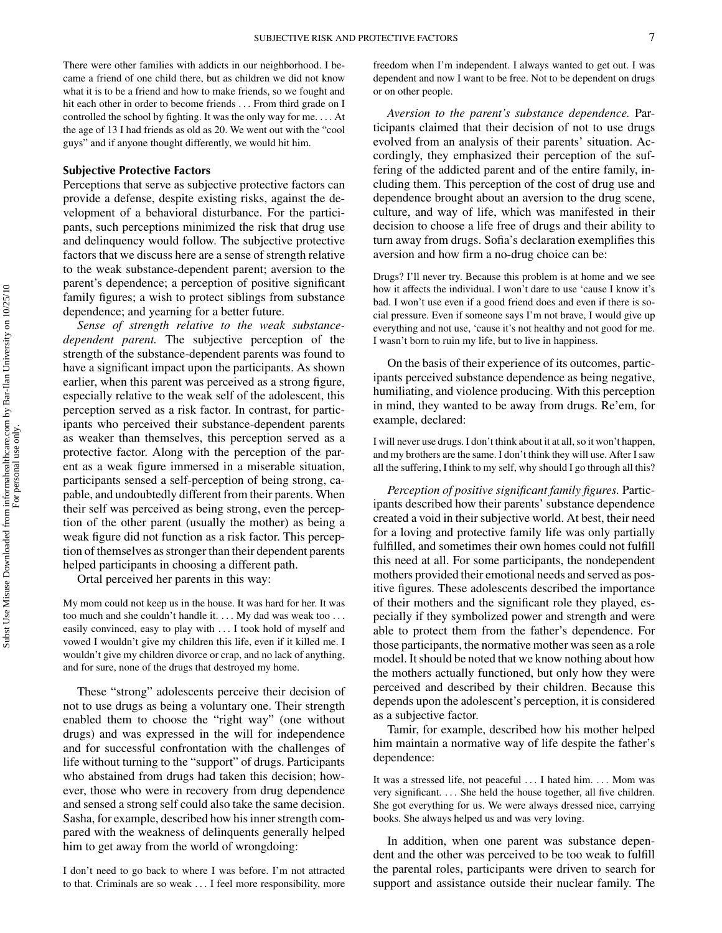*There were other families with addicts in our neighborhood. I became a friend of one child there, but as children we did not know what it is to be a friend and how to make friends, so we fought and hit each other in order to become friends* ... *From third grade on I controlled the school by fighting. It was the only way for me.* ... *At the age of 13 I had friends as old as 20. We went out with the "cool guys" and if anyone thought differently, we would hit him.*

#### *Subjective Protective Factors*

*Perceptions that serve as subjective protective factors can provide a defense, despite existing risks, against the development of a behavioral disturbance. For the participants, such perceptions minimized the risk that drug use and delinquency would follow. The subjective protective factors that we discuss here are a sense of strength relative to the weak substance-dependent parent; aversion to the parent's dependence; a perception of positive significant family figures; a wish to protect siblings from substance dependence; and yearning for a better future.*

*Sense of strength relative to the weak substancedependent parent. The subjective perception of the strength of the substance-dependent parents was found to have a significant impact upon the participants. As shown earlier, when this parent was perceived as a strong figure, especially relative to the weak self of the adolescent, this perception served as a risk factor. In contrast, for participants who perceived their substance-dependent parents as weaker than themselves, this perception served as a protective factor. Along with the perception of the parent as a weak figure immersed in a miserable situation, participants sensed a self-perception of being strong, capable, and undoubtedly different from their parents. When their self was perceived as being strong, even the perception of the other parent (usually the mother) as being a weak figure did not function as a risk factor. This perception of themselves as stronger than their dependent parents helped participants in choosing a different path.*

*Ortal perceived her parents in this way:*

*My mom could not keep us in the house. It was hard for her. It was too much and she couldn't handle it.* ... *My dad was weak too* ... *easily convinced, easy to play with* ... *I took hold of myself and vowed I wouldn't give my children this life, even if it killed me. I wouldn't give my children divorce or crap, and no lack of anything, and for sure, none of the drugs that destroyed my home.*

*These "strong" adolescents perceive their decision of not to use drugs as being a voluntary one. Their strength enabled them to choose the "right way" (one without drugs) and was expressed in the will for independence and for successful confrontation with the challenges of life without turning to the "support" of drugs. Participants who abstained from drugs had taken this decision; however, those who were in recovery from drug dependence and sensed a strong self could also take the same decision. Sasha, for example, described how his inner strength compared with the weakness of delinquents generally helped him to get away from the world of wrongdoing:*

*I don't need to go back to where I was before. I'm not attracted to that. Criminals are so weak* ... *I feel more responsibility, more* *freedom when I'm independent. I always wanted to get out. I was dependent and now I want to be free. Not to be dependent on drugs or on other people.*

*Aversion to the parent's substance dependence. Participants claimed that their decision of not to use drugs evolved from an analysis of their parents' situation. Accordingly, they emphasized their perception of the suffering of the addicted parent and of the entire family, including them. This perception of the cost of drug use and dependence brought about an aversion to the drug scene, culture, and way of life, which was manifested in their decision to choose a life free of drugs and their ability to turn away from drugs. Sofia's declaration exemplifies this aversion and how firm a no-drug choice can be:*

*Drugs? I'll never try. Because this problem is at home and we see how it affects the individual. I won't dare to use 'cause I know it's bad. I won't use even if a good friend does and even if there is social pressure. Even if someone says I'm not brave, I would give up everything and not use, 'cause it's not healthy and not good for me. I wasn't born to ruin my life, but to live in happiness.*

*On the basis of their experience of its outcomes, participants perceived substance dependence as being negative, humiliating, and violence producing. With this perception in mind, they wanted to be away from drugs. Re'em, for example, declared:*

*I will never use drugs. I don't think about it at all, so it won't happen, and my brothers are the same. I don't think they will use. After I saw all the suffering, I think to my self, why should I go through all this?*

*Perception of positive significant family figures. Participants described how their parents' substance dependence created a void in their subjective world. At best, their need for a loving and protective family life was only partially fulfilled, and sometimes their own homes could not fulfill this need at all. For some participants, the nondependent mothers provided their emotional needs and served as positive figures. These adolescents described the importance of their mothers and the significant role they played, especially if they symbolized power and strength and were able to protect them from the father's dependence. For those participants, the normative mother was seen as a role model. It should be noted that we know nothing about how the mothers actually functioned, but only how they were perceived and described by their children. Because this depends upon the adolescent's perception, it is considered as a subjective factor.*

*Tamir, for example, described how his mother helped him maintain a normative way of life despite the father's dependence:*

*It was a stressed life, not peaceful* ... *I hated him.* ... *Mom was very significant.* ... *She held the house together, all five children. She got everything for us. We were always dressed nice, carrying books. She always helped us and was very loving.*

*In addition, when one parent was substance dependent and the other was perceived to be too weak to fulfill the parental roles, participants were driven to search for support and assistance outside their nuclear family. The*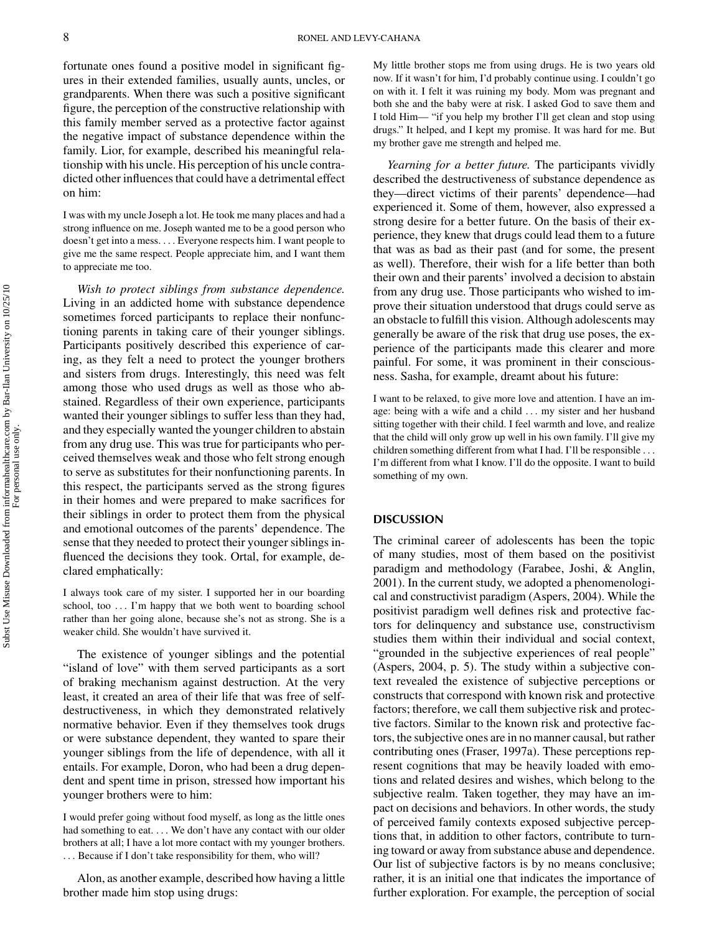*fortunate ones found a positive model in significant figures in their extended families, usually aunts, uncles, or grandparents. When there was such a positive significant figure, the perception of the constructive relationship with this family member served as a protective factor against the negative impact of substance dependence within the family. Lior, for example, described his meaningful relationship with his uncle. His perception of his uncle contradicted other influences that could have a detrimental effect on him:*

*I was with my uncle Joseph a lot. He took me many places and had a strong influence on me. Joseph wanted me to be a good person who doesn't get into a mess.* ... *Everyone respects him. I want people to give me the same respect. People appreciate him, and I want them to appreciate me too.*

*Wish to protect siblings from substance dependence. Living in an addicted home with substance dependence sometimes forced participants to replace their nonfunctioning parents in taking care of their younger siblings. Participants positively described this experience of caring, as they felt a need to protect the younger brothers and sisters from drugs. Interestingly, this need was felt among those who used drugs as well as those who abstained. Regardless of their own experience, participants wanted their younger siblings to suffer less than they had, and they especially wanted the younger children to abstain from any drug use. This was true for participants who perceived themselves weak and those who felt strong enough to serve as substitutes for their nonfunctioning parents. In this respect, the participants served as the strong figures in their homes and were prepared to make sacrifices for their siblings in order to protect them from the physical and emotional outcomes of the parents' dependence. The sense that they needed to protect their younger siblings influenced the decisions they took. Ortal, for example, declared emphatically:*

*I always took care of my sister. I supported her in our boarding school, too* ... *I'm happy that we both went to boarding school rather than her going alone, because she's not as strong. She is a weaker child. She wouldn't have survived it.*

*The existence of younger siblings and the potential "island of love" with them served participants as a sort of braking mechanism against destruction. At the very least, it created an area of their life that was free of selfdestructiveness, in which they demonstrated relatively normative behavior. Even if they themselves took drugs or were substance dependent, they wanted to spare their younger siblings from the life of dependence, with all it entails. For example, Doron, who had been a drug dependent and spent time in prison, stressed how important his younger brothers were to him:*

*I would prefer going without food myself, as long as the little ones had something to eat.* ... *We don't have any contact with our older brothers at all; I have a lot more contact with my younger brothers.* ... *Because if I don't take responsibility for them, who will?*

*Alon, as another example, described how having a little brother made him stop using drugs:*

*My little brother stops me from using drugs. He is two years old now. If it wasn't for him, I'd probably continue using. I couldn't go on with it. I felt it was ruining my body. Mom was pregnant and both she and the baby were at risk. I asked God to save them and I told Him— "if you help my brother I'll get clean and stop using drugs." It helped, and I kept my promise. It was hard for me. But my brother gave me strength and helped me.*

*Yearning for a better future. The participants vividly described the destructiveness of substance dependence as they—direct victims of their parents' dependence—had experienced it. Some of them, however, also expressed a strong desire for a better future. On the basis of their experience, they knew that drugs could lead them to a future that was as bad as their past (and for some, the present as well). Therefore, their wish for a life better than both their own and their parents' involved a decision to abstain from any drug use. Those participants who wished to improve their situation understood that drugs could serve as an obstacle to fulfill this vision. Although adolescents may generally be aware of the risk that drug use poses, the experience of the participants made this clearer and more painful. For some, it was prominent in their consciousness. Sasha, for example, dreamt about his future:*

*I want to be relaxed, to give more love and attention. I have an image: being with a wife and a child* ... *my sister and her husband sitting together with their child. I feel warmth and love, and realize that the child will only grow up well in his own family. I'll give my children something different from what I had. I'll be responsible* ... *I'm different from what I know. I'll do the opposite. I want to build something of my own.*

#### *DISCUSSION*

*The criminal career of adolescents has been the topic of many studies, most of them based on the positivist paradigm and methodology (Farabee, Joshi, & Anglin, 2001). In the current study, we adopted a phenomenological and constructivist paradigm (Aspers, 2004). While the positivist paradigm well defines risk and protective factors for delinquency and substance use, constructivism studies them within their individual and social context, "grounded in the subjective experiences of real people" (Aspers, 2004, p. 5). The study within a subjective context revealed the existence of subjective perceptions or constructs that correspond with known risk and protective factors; therefore, we call them subjective risk and protective factors. Similar to the known risk and protective factors, the subjective ones are in no manner causal, but rather contributing ones (Fraser, 1997a). These perceptions represent cognitions that may be heavily loaded with emotions and related desires and wishes, which belong to the subjective realm. Taken together, they may have an impact on decisions and behaviors. In other words, the study of perceived family contexts exposed subjective perceptions that, in addition to other factors, contribute to turning toward or away from substance abuse and dependence. Our list of subjective factors is by no means conclusive; rather, it is an initial one that indicates the importance of further exploration. For example, the perception of social*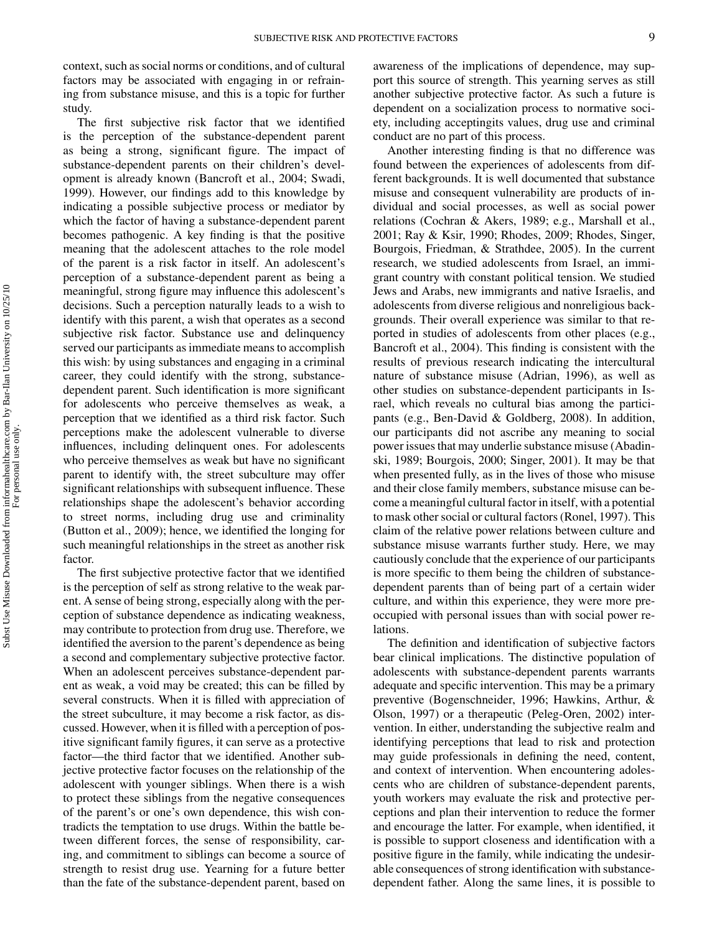*context, such as social norms or conditions, and of cultural factors may be associated with engaging in or refraining from substance misuse, and this is a topic for further study.*

*The first subjective risk factor that we identified is the perception of the substance-dependent parent as being a strong, significant figure. The impact of substance-dependent parents on their children's development is already known (Bancroft et al., 2004; Swadi, 1999). However, our findings add to this knowledge by indicating a possible subjective process or mediator by which the factor of having a substance-dependent parent becomes pathogenic. A key finding is that the positive meaning that the adolescent attaches to the role model of the parent is a risk factor in itself. An adolescent's perception of a substance-dependent parent as being a meaningful, strong figure may influence this adolescent's decisions. Such a perception naturally leads to a wish to identify with this parent, a wish that operates as a second subjective risk factor. Substance use and delinquency served our participants as immediate means to accomplish this wish: by using substances and engaging in a criminal career, they could identify with the strong, substancedependent parent. Such identification is more significant for adolescents who perceive themselves as weak, a perception that we identified as a third risk factor. Such perceptions make the adolescent vulnerable to diverse influences, including delinquent ones. For adolescents who perceive themselves as weak but have no significant parent to identify with, the street subculture may offer significant relationships with subsequent influence. These relationships shape the adolescent's behavior according to street norms, including drug use and criminality (Button et al., 2009); hence, we identified the longing for such meaningful relationships in the street as another risk factor.*

*The first subjective protective factor that we identified is the perception of self as strong relative to the weak parent. A sense of being strong, especially along with the perception of substance dependence as indicating weakness, may contribute to protection from drug use. Therefore, we identified the aversion to the parent's dependence as being a second and complementary subjective protective factor. When an adolescent perceives substance-dependent parent as weak, a void may be created; this can be filled by several constructs. When it is filled with appreciation of the street subculture, it may become a risk factor, as discussed. However, when it is filled with a perception of positive significant family figures, it can serve as a protective factor—the third factor that we identified. Another subjective protective factor focuses on the relationship of the adolescent with younger siblings. When there is a wish to protect these siblings from the negative consequences of the parent's or one's own dependence, this wish contradicts the temptation to use drugs. Within the battle between different forces, the sense of responsibility, caring, and commitment to siblings can become a source of strength to resist drug use. Yearning for a future better than the fate of the substance-dependent parent, based on*

*awareness of the implications of dependence, may support this source of strength. This yearning serves as still another subjective protective factor. As such a future is dependent on a socialization process to normative society, including acceptingits values, drug use and criminal conduct are no part of this process.*

*Another interesting finding is that no difference was found between the experiences of adolescents from different backgrounds. It is well documented that substance misuse and consequent vulnerability are products of individual and social processes, as well as social power relations (Cochran & Akers, 1989; e.g., Marshall et al., 2001; Ray & Ksir, 1990; Rhodes, 2009; Rhodes, Singer, Bourgois, Friedman, & Strathdee, 2005). In the current research, we studied adolescents from Israel, an immigrant country with constant political tension. We studied Jews and Arabs, new immigrants and native Israelis, and adolescents from diverse religious and nonreligious backgrounds. Their overall experience was similar to that reported in studies of adolescents from other places (e.g., Bancroft et al., 2004). This finding is consistent with the results of previous research indicating the intercultural nature of substance misuse (Adrian, 1996), as well as other studies on substance-dependent participants in Israel, which reveals no cultural bias among the participants (e.g., Ben-David & Goldberg, 2008). In addition, our participants did not ascribe any meaning to social power issues that may underlie substance misuse (Abadinski, 1989; Bourgois, 2000; Singer, 2001). It may be that when presented fully, as in the lives of those who misuse and their close family members, substance misuse can become a meaningful cultural factor in itself, with a potential to mask other social or cultural factors (Ronel, 1997). This claim of the relative power relations between culture and substance misuse warrants further study. Here, we may cautiously conclude that the experience of our participants is more specific to them being the children of substancedependent parents than of being part of a certain wider culture, and within this experience, they were more preoccupied with personal issues than with social power relations.*

*The definition and identification of subjective factors bear clinical implications. The distinctive population of adolescents with substance-dependent parents warrants adequate and specific intervention. This may be a primary preventive (Bogenschneider, 1996; Hawkins, Arthur, & Olson, 1997) or a therapeutic (Peleg-Oren, 2002) intervention. In either, understanding the subjective realm and identifying perceptions that lead to risk and protection may guide professionals in defining the need, content, and context of intervention. When encountering adolescents who are children of substance-dependent parents, youth workers may evaluate the risk and protective perceptions and plan their intervention to reduce the former and encourage the latter. For example, when identified, it is possible to support closeness and identification with a positive figure in the family, while indicating the undesirable consequences of strong identification with substancedependent father. Along the same lines, it is possible to*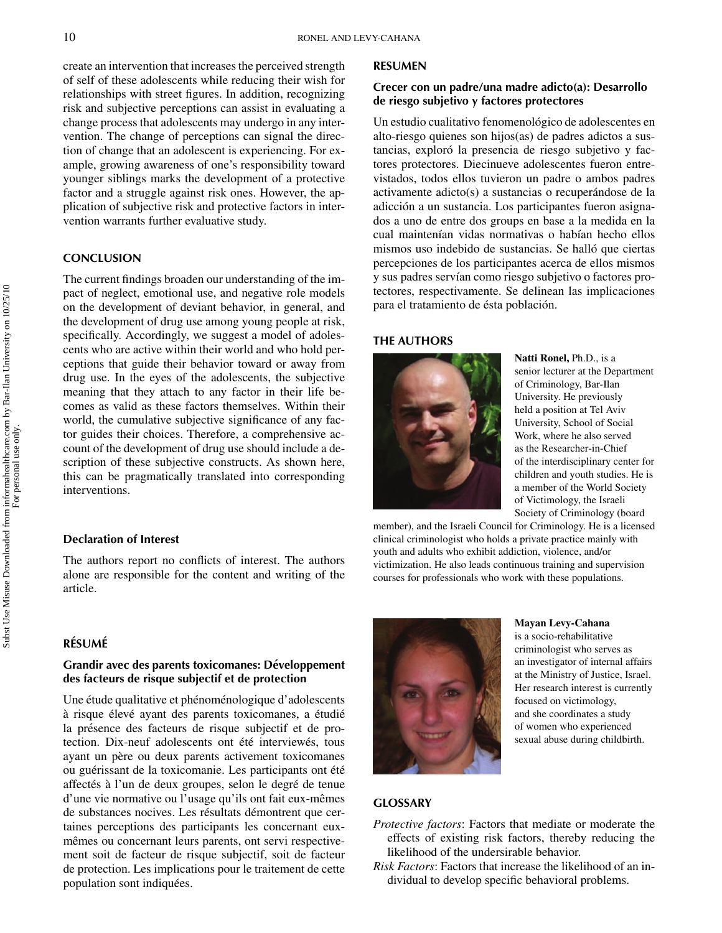*create an intervention that increases the perceived strength of self of these adolescents while reducing their wish for relationships with street figures. In addition, recognizing risk and subjective perceptions can assist in evaluating a change process that adolescents may undergo in any intervention. The change of perceptions can signal the direction of change that an adolescent is experiencing. For example, growing awareness of one's responsibility toward younger siblings marks the development of a protective factor and a struggle against risk ones. However, the application of subjective risk and protective factors in intervention warrants further evaluative study.*

## *CONCLUSION*

*The current findings broaden our understanding of the impact of neglect, emotional use, and negative role models on the development of deviant behavior, in general, and the development of drug use among young people at risk, specifically. Accordingly, we suggest a model of adolescents who are active within their world and who hold perceptions that guide their behavior toward or away from drug use. In the eyes of the adolescents, the subjective meaning that they attach to any factor in their life becomes as valid as these factors themselves. Within their world, the cumulative subjective significance of any factor guides their choices. Therefore, a comprehensive account of the development of drug use should include a description of these subjective constructs. As shown here, this can be pragmatically translated into corresponding interventions.*

## *Declaration of Interest*

*The authors report no conflicts of interest. The authors alone are responsible for the content and writing of the article.*

#### *RESUMEN*

## *Crecer con un padre/una madre adicto(a): Desarrollo de riesgo subjetivo y factores protectores*

*Un estudio cualitativo fenomenologico de adolescentes en ´ alto-riesgo quienes son hijos(as) de padres adictos a sustancias, exploro la presencia de riesgo subjetivo y fac- ´ tores protectores. Diecinueve adolescentes fueron entrevistados, todos ellos tuvieron un padre o ambos padres activamente adicto(s) a sustancias o recuperandose de la ´ adiccion a un sustancia. Los participantes fueron asigna- ´ dos a uno de entre dos groups en base a la medida en la cual mainten´ıan vidas normativas o hab´ıan hecho ellos mismos uso indebido de sustancias. Se hallo que ciertas ´ percepciones de los participantes acerca de ellos mismos y sus padres serv´ıan como riesgo subjetivo o factores protectores, respectivamente. Se delinean las implicaciones para el tratamiento de esta poblaci ´ on. ´*

## *THE AUTHORS*



*Natti Ronel, Ph.D., is a senior lecturer at the Department of Criminology, Bar-Ilan University. He previously held a position at Tel Aviv University, School of Social Work, where he also served as the Researcher-in-Chief of the interdisciplinary center for children and youth studies. He is a member of the World Society of Victimology, the Israeli Society of Criminology (board*

*member), and the Israeli Council for Criminology. He is a licensed clinical criminologist who holds a private practice mainly with youth and adults who exhibit addiction, violence, and/or victimization. He also leads continuous training and supervision courses for professionals who work with these populations.*



## *Mayan Levy-Cahana*

*is a socio-rehabilitative criminologist who serves as an investigator of internal affairs at the Ministry of Justice, Israel. Her research interest is currently focused on victimology, and she coordinates a study of women who experienced sexual abuse during childbirth.*

## *GLOSSARY*

- *Protective factors: Factors that mediate or moderate the effects of existing risk factors, thereby reducing the likelihood of the undersirable behavior.*
- *Risk Factors: Factors that increase the likelihood of an individual to develop specific behavioral problems.*

## *RESUM ´ E´*

## *Grandir avec des parents toxicomanes: Developpement ´ des facteurs de risque subjectif et de protection*

*Une etude qualitative et ph ´ enom ´ enologique d'adolescents ´*  $\alpha$  *i s isque élevé ayant des parents toxicomanes, a étudié la presence des facteurs de risque subjectif et de pro- ´ tection.* Dix-neuf adolescents ont *été* interviewés, tous *ayant un pere ou deux parents activement toxicomanes ` ou guérissant de la toxicomanie. Les participants ont été affectes´ a l'un de deux groupes, selon le degr ` e de tenue ´ d'une vie normative ou l'usage qu'ils ont fait eux-mêmes de substances nocives. Les résultats démontrent que certaines perceptions des participants les concernant euxmêmes ou concernant leurs parents, ont servi respectivement soit de facteur de risque subjectif, soit de facteur de protection. Les implications pour le traitement de cette population sont indiquees. ´*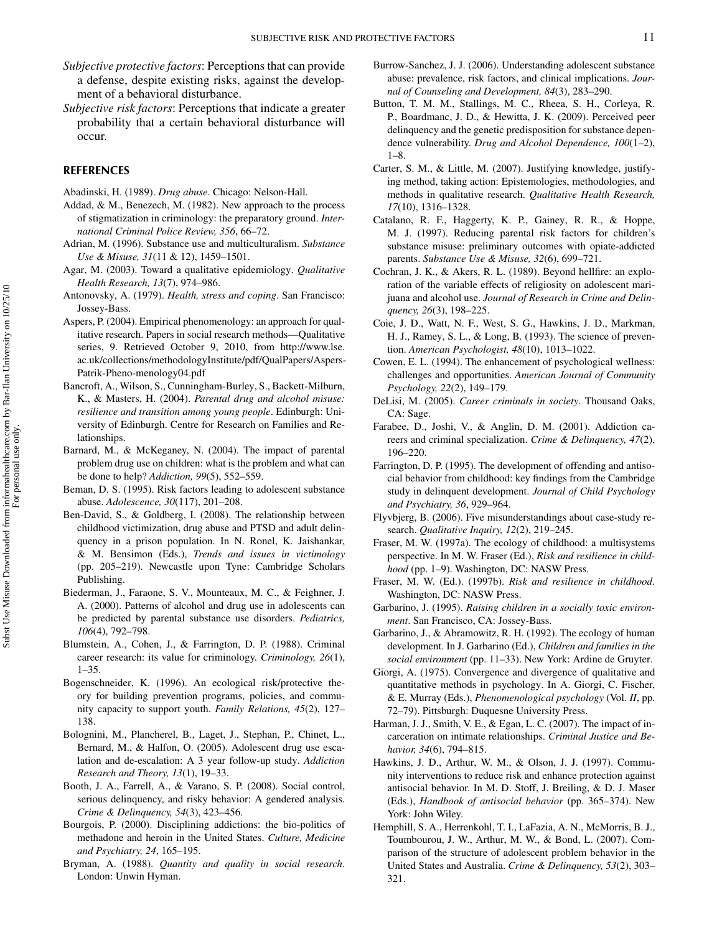- *Subjective protective factors: Perceptions that can provide a defense, despite existing risks, against the development of a behavioral disturbance.*
- *Subjective risk factors: Perceptions that indicate a greater probability that a certain behavioral disturbance will occur.*

#### *REFERENCES*

- *Abadinski, H. (1989). Drug abuse. Chicago: Nelson-Hall.*
- *Addad, & M., Benezech, M. (1982). New approach to the process of stigmatization in criminology: the preparatory ground. International Criminal Police Review, 356, 66–72.*
- *Adrian, M. (1996). Substance use and multiculturalism. Substance Use & Misuse, 31(11 & 12), 1459–1501.*
- *Agar, M. (2003). Toward a qualitative epidemiology. Qualitative Health Research, 13(7), 974–986.*
- *Antonovsky, A. (1979). Health, stress and coping. San Francisco: Jossey-Bass.*
- *Aspers, P. (2004). Empirical phenomenology: an approach for qualitative research. Papers in social research methods—Qualitative series, 9. Retrieved October 9, 2010, from http://www.lse. ac.uk/collections/methodologyInstitute/pdf/QualPapers/Aspers-Patrik-Pheno-menology04.pdf*
- *Bancroft, A., Wilson, S., Cunningham-Burley, S., Backett-Milburn, K., & Masters, H. (2004). Parental drug and alcohol misuse: resilience and transition among young people. Edinburgh: University of Edinburgh. Centre for Research on Families and Relationships.*
- *Barnard, M., & McKeganey, N. (2004). The impact of parental problem drug use on children: what is the problem and what can be done to help? Addiction, 99(5), 552–559.*
- *Beman, D. S. (1995). Risk factors leading to adolescent substance abuse. Adolescence, 30(117), 201–208.*
- *Ben-David, S., & Goldberg, I. (2008). The relationship between childhood victimization, drug abuse and PTSD and adult delinquency in a prison population. In N. Ronel, K. Jaishankar, & M. Bensimon (Eds.), Trends and issues in victimology (pp. 205–219). Newcastle upon Tyne: Cambridge Scholars Publishing.*
- *Biederman, J., Faraone, S. V., Mounteaux, M. C., & Feighner, J. A. (2000). Patterns of alcohol and drug use in adolescents can be predicted by parental substance use disorders. Pediatrics, 106(4), 792–798.*
- *Blumstein, A., Cohen, J., & Farrington, D. P. (1988). Criminal career research: its value for criminology. Criminology, 26(1), 1–35.*
- *Bogenschneider, K. (1996). An ecological risk/protective theory for building prevention programs, policies, and community capacity to support youth. Family Relations, 45(2), 127– 138.*
- *Bolognini, M., Plancherel, B., Laget, J., Stephan, P., Chinet, L., Bernard, M., & Halfon, O. (2005). Adolescent drug use escalation and de-escalation: A 3 year follow-up study. Addiction Research and Theory, 13(1), 19–33.*
- *Booth, J. A., Farrell, A., & Varano, S. P. (2008). Social control, serious delinquency, and risky behavior: A gendered analysis. Crime & Delinquency, 54(3), 423–456.*
- *Bourgois, P. (2000). Disciplining addictions: the bio-politics of methadone and heroin in the United States. Culture, Medicine and Psychiatry, 24, 165–195.*
- *Bryman, A. (1988). Quantity and quality in social research. London: Unwin Hyman.*
- *Burrow-Sanchez, J. J. (2006). Understanding adolescent substance abuse: prevalence, risk factors, and clinical implications. Journal of Counseling and Development, 84(3), 283–290.*
- *Button, T. M. M., Stallings, M. C., Rheea, S. H., Corleya, R. P., Boardmanc, J. D., & Hewitta, J. K. (2009). Perceived peer delinquency and the genetic predisposition for substance dependence vulnerability. Drug and Alcohol Dependence, 100(1–2), 1–8.*
- *Carter, S. M., & Little, M. (2007). Justifying knowledge, justifying method, taking action: Epistemologies, methodologies, and methods in qualitative research. Qualitative Health Research, 17(10), 1316–1328.*
- *Catalano, R. F., Haggerty, K. P., Gainey, R. R., & Hoppe, M. J. (1997). Reducing parental risk factors for children's substance misuse: preliminary outcomes with opiate-addicted parents. Substance Use & Misuse, 32(6), 699–721.*
- *Cochran, J. K., & Akers, R. L. (1989). Beyond hellfire: an exploration of the variable effects of religiosity on adolescent marijuana and alcohol use. Journal of Research in Crime and Delinquency, 26(3), 198–225.*
- *Coie, J. D., Watt, N. F., West, S. G., Hawkins, J. D., Markman, H. J., Ramey, S. L., & Long, B. (1993). The science of prevention. American Psychologist, 48(10), 1013–1022.*
- *Cowen, E. L. (1994). The enhancement of psychological wellness: challenges and opportunities. American Journal of Community Psychology, 22(2), 149–179.*
- *DeLisi, M. (2005). Career criminals in society. Thousand Oaks, CA: Sage.*
- *Farabee, D., Joshi, V., & Anglin, D. M. (2001). Addiction careers and criminal specialization. Crime & Delinquency, 47(2), 196–220.*
- *Farrington, D. P. (1995). The development of offending and antisocial behavior from childhood: key findings from the Cambridge study in delinquent development. Journal of Child Psychology and Psychiatry, 36, 929–964.*
- *Flyvbjerg, B. (2006). Five misunderstandings about case-study research. Qualitative Inquiry, 12(2), 219–245.*
- *Fraser, M. W. (1997a). The ecology of childhood: a multisystems perspective. In M. W. Fraser (Ed.), Risk and resilience in childhood (pp. 1–9). Washington, DC: NASW Press.*
- *Fraser, M. W. (Ed.). (1997b). Risk and resilience in childhood. Washington, DC: NASW Press.*
- *Garbarino, J. (1995). Raising children in a socially toxic environment. San Francisco, CA: Jossey-Bass.*
- *Garbarino, J., & Abramowitz, R. H. (1992). The ecology of human development. In J. Garbarino (Ed.), Children and families in the social environment (pp. 11–33). New York: Ardine de Gruyter.*
- *Giorgi, A. (1975). Convergence and divergence of qualitative and quantitative methods in psychology. In A. Giorgi, C. Fischer, & E. Murray (Eds.), Phenomenological psychology (Vol. II, pp. 72–79). Pittsburgh: Duquesne University Press.*
- *Harman, J. J., Smith, V. E., & Egan, L. C. (2007). The impact of incarceration on intimate relationships. Criminal Justice and Behavior, 34(6), 794–815.*
- *Hawkins, J. D., Arthur, W. M., & Olson, J. J. (1997). Community interventions to reduce risk and enhance protection against antisocial behavior. In M. D. Stoff, J. Breiling, & D. J. Maser (Eds.), Handbook of antisocial behavior (pp. 365–374). New York: John Wiley.*
- *Hemphill, S. A., Herrenkohl, T. I., LaFazia, A. N., McMorris, B. J., Toumbourou, J. W., Arthur, M. W., & Bond, L. (2007). Comparison of the structure of adolescent problem behavior in the United States and Australia. Crime & Delinquency, 53(2), 303– 321.*